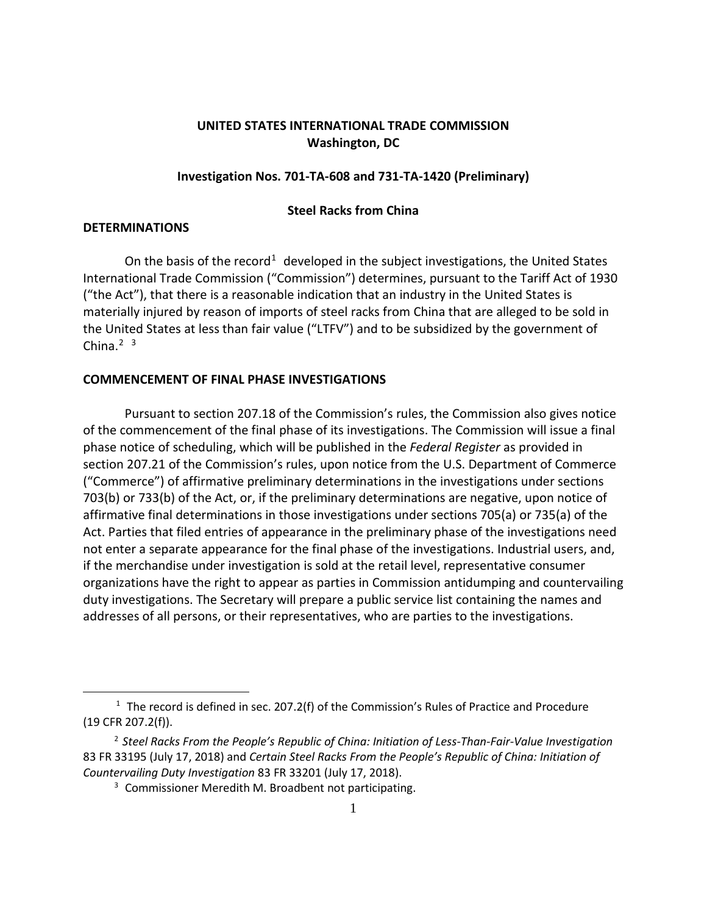# **UNITED STATES INTERNATIONAL TRADE COMMISSION Washington, DC**

## **Investigation Nos. 701-TA-608 and 731-TA-1420 (Preliminary)**

## **Steel Racks from China**

### **DETERMINATIONS**

 $\overline{a}$ 

On the basis of the record<sup>[1](#page-0-0)</sup> developed in the subject investigations, the United States International Trade Commission ("Commission") determines, pursuant to the Tariff Act of 1930 ("the Act"), that there is a reasonable indication that an industry in the United States is materially injured by reason of imports of steel racks from China that are alleged to be sold in the United States at less than fair value ("LTFV") and to be subsidized by the government of China. $2<sup>3</sup>$  $2<sup>3</sup>$  $2<sup>3</sup>$  $2<sup>3</sup>$ 

#### **COMMENCEMENT OF FINAL PHASE INVESTIGATIONS**

Pursuant to section 207.18 of the Commission's rules, the Commission also gives notice of the commencement of the final phase of its investigations. The Commission will issue a final phase notice of scheduling, which will be published in the *Federal Register* as provided in section 207.21 of the Commission's rules, upon notice from the U.S. Department of Commerce ("Commerce") of affirmative preliminary determinations in the investigations under sections 703(b) or 733(b) of the Act, or, if the preliminary determinations are negative, upon notice of affirmative final determinations in those investigations under sections 705(a) or 735(a) of the Act. Parties that filed entries of appearance in the preliminary phase of the investigations need not enter a separate appearance for the final phase of the investigations. Industrial users, and, if the merchandise under investigation is sold at the retail level, representative consumer organizations have the right to appear as parties in Commission antidumping and countervailing duty investigations. The Secretary will prepare a public service list containing the names and addresses of all persons, or their representatives, who are parties to the investigations.

<span id="page-0-0"></span> $1$  The record is defined in sec. 207.2(f) of the Commission's Rules of Practice and Procedure (19 CFR 207.2(f)).

<span id="page-0-2"></span><span id="page-0-1"></span><sup>2</sup> *Steel Racks From the People's Republic of China: Initiation of Less-Than-Fair-Value Investigation* 83 FR 33195 (July 17, 2018) and *Certain Steel Racks From the People's Republic of China: Initiation of Countervailing Duty Investigation* 83 FR 33201 (July 17, 2018).

<sup>&</sup>lt;sup>3</sup> Commissioner Meredith M. Broadbent not participating.